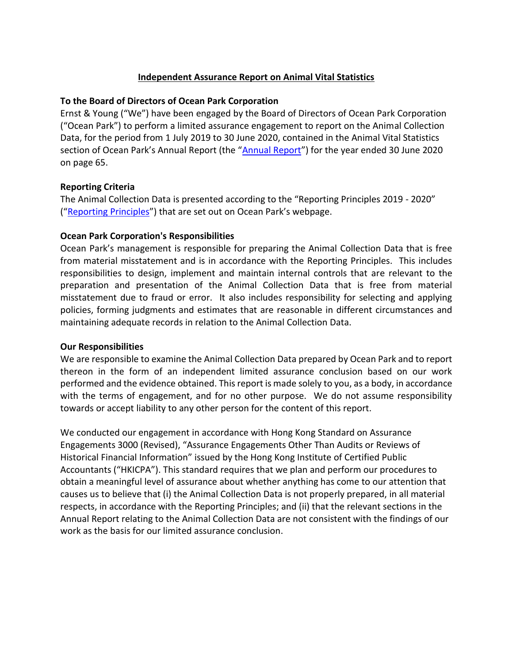## **Independent Assurance Report on Animal Vital Statistics**

## **To the Board of Directors of Ocean Park Corporation**

Ernst & Young ("We") have been engaged by the Board of Directors of Ocean Park Corporation ("Ocean Park") to perform a limited assurance engagement to report on the Animal Collection Data, for the period from 1 July 2019 to 30 June 2020, contained in the Animal Vital Statistics section of Ocean Park's [Annual Report](https://www.oceanpark.com.hk/en/corporate-information/annual-report) (the "Annual Report") for the year ended 30 June 2020 on page 65.

## **Reporting Criteria**

The Animal Collection Data is presented according to the "Reporting Principles 2019 - 2020" ("[Reporting Principles](http://media.oceanpark.com.hk/files/s3fs-public/en_reporting_principles_19_20.pdf)") that are set out on Ocean Park's webpage.

## **Ocean Park Corporation's Responsibilities**

Ocean Park's management is responsible for preparing the Animal Collection Data that is free from material misstatement and is in accordance with the Reporting Principles. This includes responsibilities to design, implement and maintain internal controls that are relevant to the preparation and presentation of the Animal Collection Data that is free from material misstatement due to fraud or error. It also includes responsibility for selecting and applying policies, forming judgments and estimates that are reasonable in different circumstances and maintaining adequate records in relation to the Animal Collection Data.

#### **Our Responsibilities**

We are responsible to examine the Animal Collection Data prepared by Ocean Park and to report thereon in the form of an independent limited assurance conclusion based on our work performed and the evidence obtained. This report is made solely to you, as a body, in accordance with the terms of engagement, and for no other purpose. We do not assume responsibility towards or accept liability to any other person for the content of this report.

We conducted our engagement in accordance with Hong Kong Standard on Assurance Engagements 3000 (Revised), "Assurance Engagements Other Than Audits or Reviews of Historical Financial Information" issued by the Hong Kong Institute of Certified Public Accountants ("HKICPA"). This standard requires that we plan and perform our procedures to obtain a meaningful level of assurance about whether anything has come to our attention that causes us to believe that (i) the Animal Collection Data is not properly prepared, in all material respects, in accordance with the Reporting Principles; and (ii) that the relevant sections in the Annual Report relating to the Animal Collection Data are not consistent with the findings of our work as the basis for our limited assurance conclusion.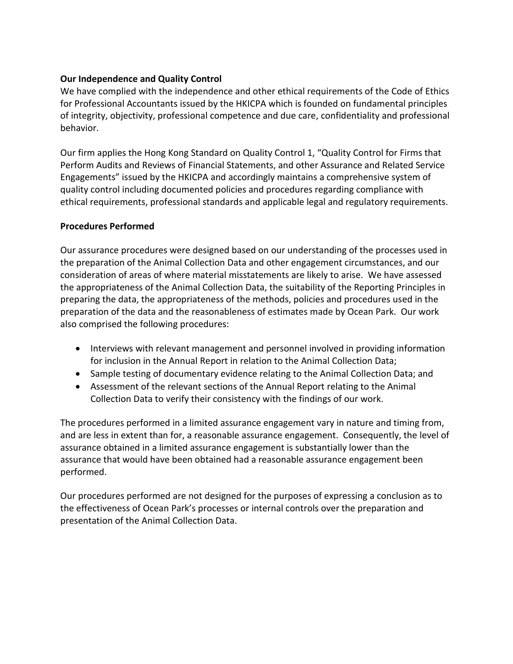# **Our Independence and Quality Control**

We have complied with the independence and other ethical requirements of the Code of Ethics for Professional Accountants issued by the HKICPA which is founded on fundamental principles of integrity, objectivity, professional competence and due care, confidentiality and professional behavior.

Our firm applies the Hong Kong Standard on Quality Control 1, "Quality Control for Firms that Perform Audits and Reviews of Financial Statements, and other Assurance and Related Service Engagements" issued by the HKICPA and accordingly maintains a comprehensive system of quality control including documented policies and procedures regarding compliance with ethical requirements, professional standards and applicable legal and regulatory requirements.

# **Procedures Performed**

Our assurance procedures were designed based on our understanding of the processes used in the preparation of the Animal Collection Data and other engagement circumstances, and our consideration of areas of where material misstatements are likely to arise. We have assessed the appropriateness of the Animal Collection Data, the suitability of the Reporting Principles in preparing the data, the appropriateness of the methods, policies and procedures used in the preparation of the data and the reasonableness of estimates made by Ocean Park. Our work also comprised the following procedures:

- Interviews with relevant management and personnel involved in providing information for inclusion in the Annual Report in relation to the Animal Collection Data;
- Sample testing of documentary evidence relating to the Animal Collection Data; and
- Assessment of the relevant sections of the Annual Report relating to the Animal Collection Data to verify their consistency with the findings of our work.

The procedures performed in a limited assurance engagement vary in nature and timing from, and are less in extent than for, a reasonable assurance engagement. Consequently, the level of assurance obtained in a limited assurance engagement is substantially lower than the assurance that would have been obtained had a reasonable assurance engagement been performed.

Our procedures performed are not designed for the purposes of expressing a conclusion as to the effectiveness of Ocean Park's processes or internal controls over the preparation and presentation of the Animal Collection Data.